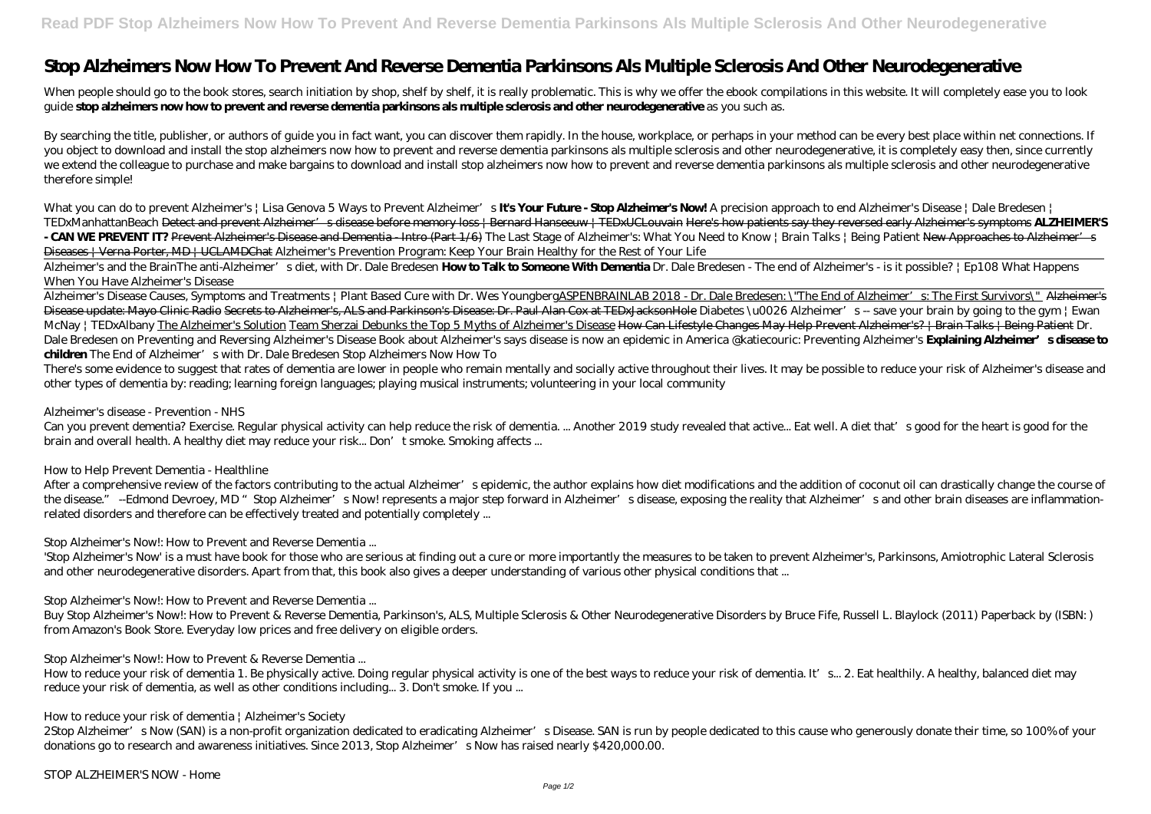## **Stop Alzheimers Now How To Prevent And Reverse Dementia Parkinsons Als Multiple Sclerosis And Other Neurodegenerative**

When people should go to the book stores, search initiation by shop, shelf by shelf, it is really problematic. This is why we offer the ebook compilations in this website. It will completely ease you to look guide **stop alzheimers now how to prevent and reverse dementia parkinsons als multiple sclerosis and other neurodegenerative** as you such as.

By searching the title, publisher, or authors of guide you in fact want, you can discover them rapidly. In the house, workplace, or perhaps in your method can be every best place within net connections. If you object to download and install the stop alzheimers now how to prevent and reverse dementia parkinsons als multiple sclerosis and other neurodegenerative, it is completely easy then, since currently we extend the colleague to purchase and make bargains to download and install stop alzheimers now how to prevent and reverse dementia parkinsons als multiple sclerosis and other neurodegenerative therefore simple!

Alzheimer's Disease Causes, Symptoms and Treatments | Plant Based Cure with Dr. Wes YoungbergASPENBRAINLAB 2018 - Dr. Dale Bredesen: \"The End of Alzheimer's: The First Survivors\" Alzheimer's Disease update: Mayo Clinic Radio Secrets to Alzheimer's, ALS and Parkinson's Disease: Dr. Paul Alan Cox at TEDxJacksonHole *Diabetes \u0026 Alzheimer's -- save your brain by going to the gym | Ewan McNay | TEDxAlbany* The Alzheimer's Solution Team Sherzai Debunks the Top 5 Myths of Alzheimer's Disease How Can Lifestyle Changes May Help Prevent Alzheimer's? | Brain Talks | Being Patient *Dr.* Dale Bredesen on Preventing and Reversing Alzheimer's Disease Book about Alzheimer's says disease is now an epidemic in America @katiecouric: Preventing Alzheimer's Explaining Alzheimer's sdisease to **children** *The End of Alzheimer's with Dr. Dale Bredesen* Stop Alzheimers Now How To

*What you can do to prevent Alzheimer's | Lisa Genova 5 Ways to Prevent Alzheimer's* **It's Your Future - Stop Alzheimer's Now!** *A precision approach to end Alzheimer's Disease | Dale Bredesen | TEDxManhattanBeach* Detect and prevent Alzheimer's disease before memory loss | Bernard Hanseeuw | TEDxUCLouvain Here's how patients say they reversed early Alzheimer's symptoms **ALZHEIMER'S** - **CAN WE PREVENT IT?** Prevent Alzheimer's Disease and Dementia - Intro (Part 1/6) *The Last Stage of Alzheimer's: What You Need to Know | Brain Talks | Being Patient* New Approaches to Alzheimer's Diseases | Verna Porter, MD | UCLAMDChat *Alzheimer's Prevention Program: Keep Your Brain Healthy for the Rest of Your Life*

Alzheimer's and the Brain*The anti-Alzheimer's diet, with Dr. Dale Bredesen* **How to Talk to Someone With Dementia** *Dr. Dale Bredesen - The end of Alzheimer's - is it possible? | Ep108 What Happens When You Have Alzheimer's Disease*

After a comprehensive review of the factors contributing to the actual Alzheimer's epidemic, the author explains how diet modifications and the addition of coconut oil can drastically change the course of the disease." --Edmond Devroey, MD "Stop Alzheimer's Now! represents a major step forward in Alzheimer's disease, exposing the reality that Alzheimer's and other brain diseases are inflammationrelated disorders and therefore can be effectively treated and potentially completely ...

How to reduce your risk of dementia 1. Be physically active. Doing regular physical activity is one of the best ways to reduce your risk of dementia. It's... 2. Eat healthily. A healthy, balanced diet may reduce your risk of dementia, as well as other conditions including... 3. Don't smoke. If you ...

How to reduce your risk of dementia | Alzheimer's Society

2Stop Alzheimer's Now (SAN) is a non-profit organization dedicated to eradicating Alzheimer's Disease. SAN is run by people dedicated to this cause who generously donate their time, so 100% of your donations go to research and awareness initiatives. Since 2013, Stop Alzheimer's Now has raised nearly \$420,000.00.

There's some evidence to suggest that rates of dementia are lower in people who remain mentally and socially active throughout their lives. It may be possible to reduce your risk of Alzheimer's disease and other types of dementia by: reading; learning foreign languages; playing musical instruments; volunteering in your local community

Alzheimer's disease - Prevention - NHS

Can you prevent dementia? Exercise. Regular physical activity can help reduce the risk of dementia. ... Another 2019 study revealed that active... Eat well. A diet that's good for the heart is good for the brain and overall health. A healthy diet may reduce your risk... Don't smoke. Smoking affects ...

How to Help Prevent Dementia - Healthline

Stop Alzheimer's Now!: How to Prevent and Reverse Dementia ...

'Stop Alzheimer's Now' is a must have book for those who are serious at finding out a cure or more importantly the measures to be taken to prevent Alzheimer's, Parkinsons, Amiotrophic Lateral Sclerosis and other neurodegenerative disorders. Apart from that, this book also gives a deeper understanding of various other physical conditions that ...

Stop Alzheimer's Now!: How to Prevent and Reverse Dementia ...

Buy Stop Alzheimer's Now!: How to Prevent & Reverse Dementia, Parkinson's, ALS, Multiple Sclerosis & Other Neurodegenerative Disorders by Bruce Fife, Russell L. Blaylock (2011) Paperback by (ISBN: ) from Amazon's Book Store. Everyday low prices and free delivery on eligible orders.

Stop Alzheimer's Now!: How to Prevent & Reverse Dementia ...